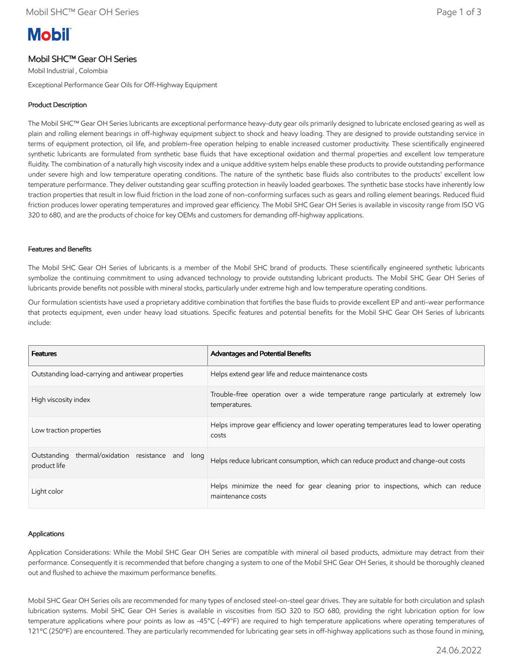# **Mobil**

## Mobil SHC™ Gear OH Series

Mobil Industrial , Colombia Exceptional Performance Gear Oils for Off-Highway Equipment

### Product Description

The Mobil SHC™ Gear OH Series lubricants are exceptional performance heavy-duty gear oils primarily designed to lubricate enclosed gearing as well as plain and rolling element bearings in off-highway equipment subject to shock and heavy loading. They are designed to provide outstanding service in terms of equipment protection, oil life, and problem-free operation helping to enable increased customer productivity. These scientifically engineered synthetic lubricants are formulated from synthetic base fluids that have exceptional oxidation and thermal properties and excellent low temperature fluidity. The combination of a naturally high viscosity index and a unique additive system helps enable these products to provide outstanding performance under severe high and low temperature operating conditions. The nature of the synthetic base fluids also contributes to the products' excellent low temperature performance. They deliver outstanding gear scuffing protection in heavily loaded gearboxes. The synthetic base stocks have inherently low traction properties that result in low fluid friction in the load zone of non-conforming surfaces such as gears and rolling element bearings. Reduced fluid friction produces lower operating temperatures and improved gear efficiency. The Mobil SHC Gear OH Series is available in viscosity range from ISO VG 320 to 680, and are the products of choice for key OEMs and customers for demanding off-highway applications.

#### Features and Benefits

The Mobil SHC Gear OH Series of lubricants is a member of the Mobil SHC brand of products. These scientifically engineered synthetic lubricants symbolize the continuing commitment to using advanced technology to provide outstanding lubricant products. The Mobil SHC Gear OH Series of lubricants provide benefits not possible with mineral stocks, particularly under extreme high and low temperature operating conditions.

Our formulation scientists have used a proprietary additive combination that fortifies the base fluids to provide excellent EP and anti-wear performance that protects equipment, even under heavy load situations. Specific features and potential benefits for the Mobil SHC Gear OH Series of lubricants include:

| <b>Features</b>                                                      | <b>Advantages and Potential Benefits</b>                                                              |  |
|----------------------------------------------------------------------|-------------------------------------------------------------------------------------------------------|--|
| Outstanding load-carrying and antiwear properties                    | Helps extend gear life and reduce maintenance costs                                                   |  |
| High viscosity index                                                 | Trouble-free operation over a wide temperature range particularly at extremely low<br>temperatures.   |  |
| Low traction properties                                              | Helps improve gear efficiency and lower operating temperatures lead to lower operating<br>costs       |  |
| thermal/oxidation resistance and long<br>Outstanding<br>product life | Helps reduce lubricant consumption, which can reduce product and change-out costs                     |  |
| Light color                                                          | Helps minimize the need for gear cleaning prior to inspections, which can reduce<br>maintenance costs |  |

#### Applications

Application Considerations: While the Mobil SHC Gear OH Series are compatible with mineral oil based products, admixture may detract from their performance. Consequently it is recommended that before changing a system to one of the Mobil SHC Gear OH Series, it should be thoroughly cleaned out and flushed to achieve the maximum performance benefits.

Mobil SHC Gear OH Series oils are recommended for many types of enclosed steel-on-steel gear drives. They are suitable for both circulation and splash lubrication systems. Mobil SHC Gear OH Series is available in viscosities from ISO 320 to ISO 680, providing the right lubrication option for low temperature applications where pour points as low as -45°C (-49°F) are required to high temperature applications where operating temperatures of 121ºC (250ºF) are encountered. They are particularly recommended for lubricating gear sets in off-highway applications such as those found in mining,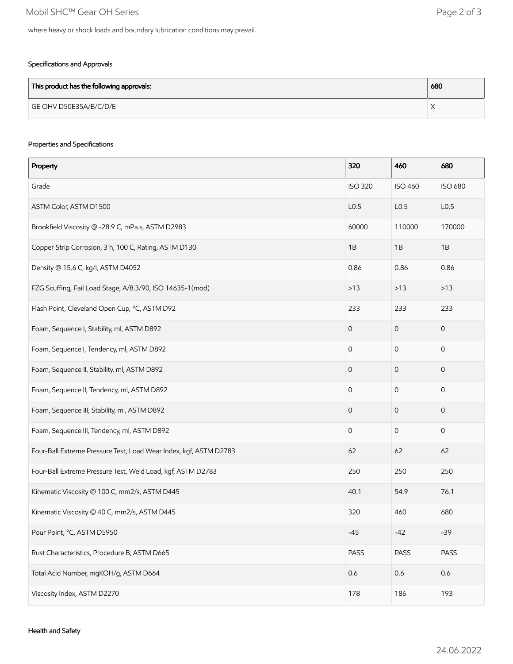#### Specifications and Approvals

| This product has the following approvals: | 680 |
|-------------------------------------------|-----|
| GE OHV D50E35A/B/C/D/E                    |     |

#### Properties and Specifications

| Property                                                          | 320 | 460                 | 680              |
|-------------------------------------------------------------------|-----|---------------------|------------------|
| Grade                                                             |     | <b>ISO 460</b>      | <b>ISO 680</b>   |
| ASTM Color, ASTM D1500                                            |     | L <sub>0.5</sub>    | L <sub>0.5</sub> |
| Brookfield Viscosity @ -28.9 C, mPa.s, ASTM D2983                 |     | 110000              | 170000           |
| Copper Strip Corrosion, 3 h, 100 C, Rating, ASTM D130             |     | 1B                  | 1B               |
| Density @ 15.6 C, kg/l, ASTM D4052                                |     | 0.86                | 0.86             |
| FZG Scuffing, Fail Load Stage, A/8.3/90, ISO 14635-1(mod)         |     | $>13$               | $>13$            |
| Flash Point, Cleveland Open Cup, °C, ASTM D92                     |     | 233                 | 233              |
| Foam, Sequence I, Stability, ml, ASTM D892                        |     | $\mathbf 0$         | 0                |
| Foam, Sequence I, Tendency, ml, ASTM D892                         |     | $\mathsf{O}\xspace$ | 0                |
| Foam, Sequence II, Stability, ml, ASTM D892                       |     | $\mathbf 0$         | 0                |
| Foam, Sequence II, Tendency, ml, ASTM D892                        |     | $\mathsf{O}\xspace$ | 0                |
| Foam, Sequence III, Stability, ml, ASTM D892                      |     | $\mathsf{O}\xspace$ | $\mathbf 0$      |
| Foam, Sequence III, Tendency, ml, ASTM D892                       |     | $\mathsf{O}\xspace$ | $\mathbf 0$      |
| Four-Ball Extreme Pressure Test, Load Wear Index, kgf, ASTM D2783 |     | 62                  | 62               |
| Four-Ball Extreme Pressure Test, Weld Load, kgf, ASTM D2783       |     | 250                 | 250              |
| Kinematic Viscosity @ 100 C, mm2/s, ASTM D445                     |     | 54.9                | 76.1             |
| Kinematic Viscosity @ 40 C, mm2/s, ASTM D445                      |     | 460                 | 680              |
| Pour Point, °C, ASTM D5950                                        |     | $-42$               | $-39$            |
| Rust Characteristics, Procedure B, ASTM D665                      |     | PASS                | PASS             |
| Total Acid Number, mgKOH/g, ASTM D664                             |     | 0.6                 | 0.6              |
| Viscosity Index, ASTM D2270                                       |     | 186                 | 193              |